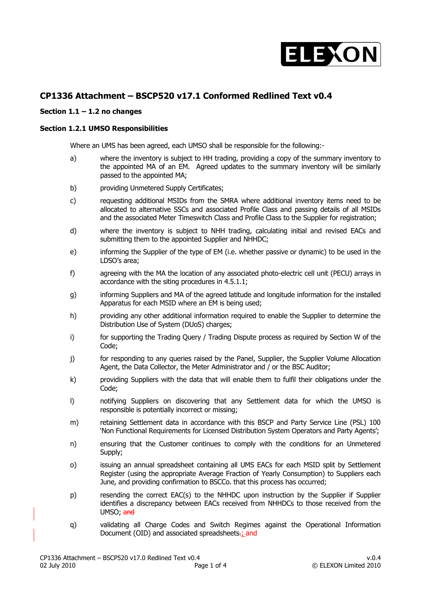

## **CP1336 Attachment – BSCP520 v17.1 Conformed Redlined Text v0.4**

## **Section 1.1 – 1.2 no changes**

## **Section 1.2.1 UMSO Responsibilities**

Where an UMS has been agreed, each UMSO shall be responsible for the following:-

- a) where the inventory is subject to HH trading, providing a copy of the summary inventory to the appointed MA of an EM. Agreed updates to the summary inventory will be similarly passed to the appointed MA;
- b) providing Unmetered Supply Certificates;
- c) requesting additional MSIDs from the SMRA where additional inventory items need to be allocated to alternative SSCs and associated Profile Class and passing details of all MSIDs and the associated Meter Timeswitch Class and Profile Class to the Supplier for registration;
- d) where the inventory is subject to NHH trading, calculating initial and revised EACs and submitting them to the appointed Supplier and NHHDC;
- e) informing the Supplier of the type of EM (i.e. whether passive or dynamic) to be used in the LDSO's area;
- f) agreeing with the MA the location of any associated photo-electric cell unit (PECU) arrays in accordance with the siting procedures in 4.5.1.1;
- g) informing Suppliers and MA of the agreed latitude and longitude information for the installed Apparatus for each MSID where an EM is being used;
- h) providing any other additional information required to enable the Supplier to determine the Distribution Use of System (DUoS) charges;
- i) for supporting the Trading Query / Trading Dispute process as required by Section W of the Code;
- j) for responding to any queries raised by the Panel, Supplier, the Supplier Volume Allocation Agent, the Data Collector, the Meter Administrator and / or the BSC Auditor;
- k) providing Suppliers with the data that will enable them to fulfil their obligations under the Code;
- l) notifying Suppliers on discovering that any Settlement data for which the UMSO is responsible is potentially incorrect or missing;
- m) retaining Settlement data in accordance with this BSCP and Party Service Line (PSL) 100 'Non Functional Requirements for Licensed Distribution System Operators and Party Agents';
- n) ensuring that the Customer continues to comply with the conditions for an Unmetered Supply;
- o) issuing an annual spreadsheet containing all UMS EACs for each MSID split by Settlement Register (using the appropriate Average Fraction of Yearly Consumption) to Suppliers each June, and providing confirmation to BSCCo. that this process has occurred;
- p) resending the correct EAC(s) to the NHHDC upon instruction by the Supplier if Supplier identifies a discrepancy between EACs received from NHHDCs to those received from the UMSO; and
- q) validating all Charge Codes and Switch Regimes against the Operational Information Document (OID) and associated spreadsheets-: and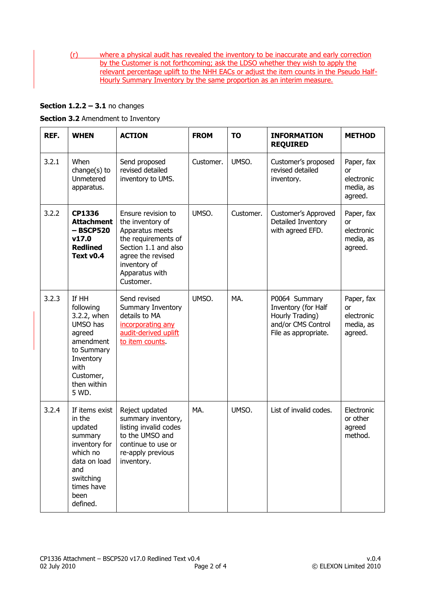(r) where a physical audit has revealed the inventory to be inaccurate and early correction by the Customer is not forthcoming; ask the LDSO whether they wish to apply the relevant percentage uplift to the NHH EACs or adjust the item counts in the Pseudo Half-Hourly Summary Inventory by the same proportion as an interim measure.

## **Section 1.2.2 – 3.1** no changes

**Section 3.2** Amendment to Inventory

| REF.  | <b>WHEN</b>                                                                                                                                       | <b>ACTION</b>                                                                                                                                                                | <b>FROM</b> | <b>TO</b> | <b>INFORMATION</b><br><b>REQUIRED</b>                                                                 | <b>METHOD</b>                                          |
|-------|---------------------------------------------------------------------------------------------------------------------------------------------------|------------------------------------------------------------------------------------------------------------------------------------------------------------------------------|-------------|-----------|-------------------------------------------------------------------------------------------------------|--------------------------------------------------------|
| 3.2.1 | When<br>change(s) to<br><b>Unmetered</b><br>apparatus.                                                                                            | Send proposed<br>revised detailed<br>inventory to UMS.                                                                                                                       | Customer.   | UMSO.     | Customer's proposed<br>revised detailed<br>inventory.                                                 | Paper, fax<br>or<br>electronic<br>media, as<br>agreed. |
| 3.2.2 | <b>CP1336</b><br><b>Attachment</b><br>$-$ BSCP520<br>v17.0<br><b>Redlined</b><br>Text v <sub>0.4</sub>                                            | Ensure revision to<br>the inventory of<br>Apparatus meets<br>the requirements of<br>Section 1.1 and also<br>agree the revised<br>inventory of<br>Apparatus with<br>Customer. | UMSO.       | Customer. | Customer's Approved<br>Detailed Inventory<br>with agreed EFD.                                         | Paper, fax<br>or<br>electronic<br>media, as<br>agreed. |
| 3.2.3 | If HH<br>following<br>3.2.2, when<br>UMSO has<br>agreed<br>amendment<br>to Summary<br>Inventory<br>with<br>Customer,<br>then within<br>5 WD.      | Send revised<br>Summary Inventory<br>details to MA<br>incorporating any<br>audit-derived uplift<br>to item counts.                                                           | UMSO.       | MA.       | P0064 Summary<br>Inventory (for Half<br>Hourly Trading)<br>and/or CMS Control<br>File as appropriate. | Paper, fax<br>or<br>electronic<br>media, as<br>agreed. |
| 3.2.4 | If items exist<br>in the<br>updated<br>summary<br>inventory for<br>which no<br>data on load<br>and<br>switching<br>times have<br>been<br>defined. | Reject updated<br>summary inventory,<br>listing invalid codes<br>to the UMSO and<br>continue to use or<br>re-apply previous<br>inventory.                                    | MA.         | UMSO.     | List of invalid codes.                                                                                | Electronic<br>or other<br>agreed<br>method.            |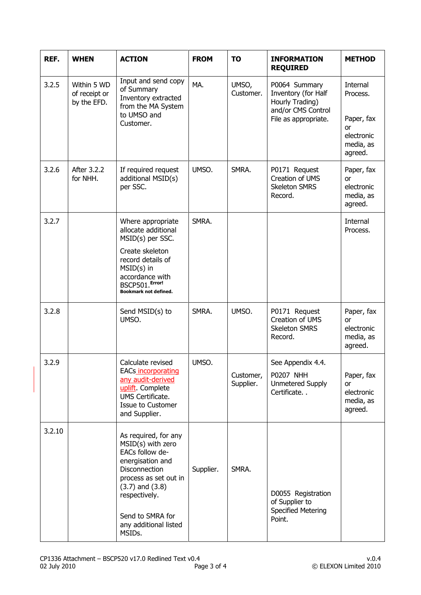| REF.   | <b>WHEN</b>                                 | <b>ACTION</b>                                                                                                                                                                                                             | <b>FROM</b> | <b>TO</b>              | <b>INFORMATION</b><br><b>REQUIRED</b>                                                                 | <b>METHOD</b>                                                                         |
|--------|---------------------------------------------|---------------------------------------------------------------------------------------------------------------------------------------------------------------------------------------------------------------------------|-------------|------------------------|-------------------------------------------------------------------------------------------------------|---------------------------------------------------------------------------------------|
| 3.2.5  | Within 5 WD<br>of receipt or<br>by the EFD. | Input and send copy<br>of Summary<br>Inventory extracted<br>from the MA System<br>to UMSO and<br>Customer.                                                                                                                | MA.         | UMSO,<br>Customer.     | P0064 Summary<br>Inventory (for Half<br>Hourly Trading)<br>and/or CMS Control<br>File as appropriate. | <b>Internal</b><br>Process.<br>Paper, fax<br>or<br>electronic<br>media, as<br>agreed. |
| 3.2.6  | After 3.2.2<br>for NHH.                     | If required request<br>additional MSID(s)<br>per SSC.                                                                                                                                                                     | UMSO.       | SMRA.                  | P0171 Request<br>Creation of UMS<br><b>Skeleton SMRS</b><br>Record.                                   | Paper, fax<br>or<br>electronic<br>media, as<br>agreed.                                |
| 3.2.7  |                                             | Where appropriate<br>allocate additional<br>MSID(s) per SSC.<br>Create skeleton<br>record details of<br>$MSID(s)$ in<br>accordance with<br>BSCP501.Error!<br>Bookmark not defined.                                        | SMRA.       |                        |                                                                                                       | Internal<br>Process.                                                                  |
| 3.2.8  |                                             | Send MSID(s) to<br>UMSO.                                                                                                                                                                                                  | SMRA.       | UMSO.                  | P0171 Request<br>Creation of UMS<br><b>Skeleton SMRS</b><br>Record.                                   | Paper, fax<br>or<br>electronic<br>media, as<br>agreed.                                |
| 3.2.9  |                                             | Calculate revised<br><b>EACs incorporating</b><br>any audit-derived<br>uplift. Complete<br>UMS Certificate.<br>Issue to Customer<br>and Supplier.                                                                         | UMSO.       | Customer,<br>Supplier. | See Appendix 4.4.<br><b>P0207 NHH</b><br><b>Unmetered Supply</b><br>Certificate                       | Paper, fax<br><b>or</b><br>electronic<br>media, as<br>agreed.                         |
| 3.2.10 |                                             | As required, for any<br>MSID(s) with zero<br>EACs follow de-<br>energisation and<br>Disconnection<br>process as set out in<br>$(3.7)$ and $(3.8)$<br>respectively.<br>Send to SMRA for<br>any additional listed<br>MSIDs. | Supplier.   | SMRA.                  | D0055 Registration<br>of Supplier to<br><b>Specified Metering</b><br>Point.                           |                                                                                       |